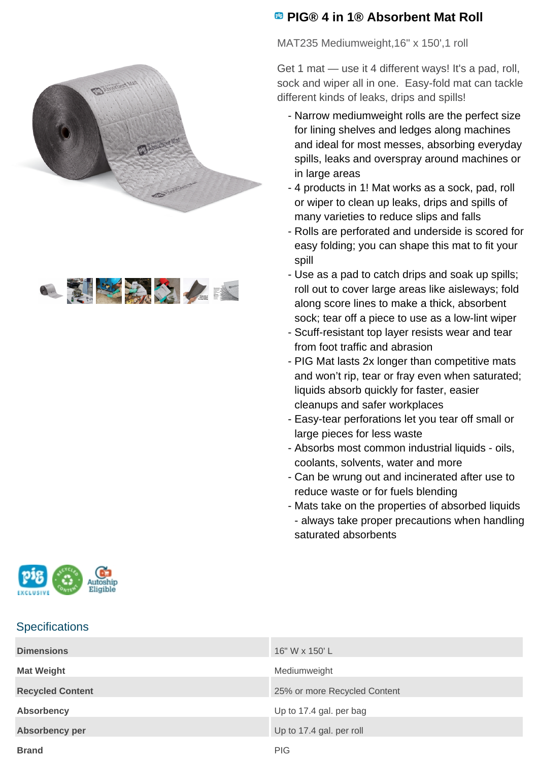



## **<b>B** PIG® 4 in 1® Absorbent Mat Roll

MAT235 Mediumweight, 16" x 150', 1 roll

Get 1 mat — use it 4 different ways! It's a pad, roll, sock and wiper all in one. Easy-fold mat can tackle different kinds of leaks, drips and spills!

- Narrow mediumweight rolls are the perfect size for lining shelves and ledges along machines and ideal for most messes, absorbing everyday spills, leaks and overspray around machines or in large areas
- 4 products in 1! Mat works as a sock, pad, roll or wiper to clean up leaks, drips and spills of many varieties to reduce slips and falls
- Rolls are perforated and underside is scored for easy folding; you can shape this mat to fit your spill
- Use as a pad to catch drips and soak up spills; roll out to cover large areas like aisleways; fold along score lines to make a thick, absorbent sock; tear off a piece to use as a low-lint wiper
- Scuff-resistant top layer resists wear and tear from foot traffic and abrasion
- PIG Mat lasts 2x longer than competitive mats and won't rip, tear or fray even when saturated; liquids absorb quickly for faster, easier cleanups and safer workplaces
- Easy-tear perforations let you tear off small or large pieces for less waste
- Absorbs most common industrial liquids oils, coolants, solvents, water and more
- Can be wrung out and incinerated after use to reduce waste or for fuels blending
- Mats take on the properties of absorbed liquids - always take proper precautions when handling saturated absorbents

| EXCLUSIVE |  |
|-----------|--|
|-----------|--|

## **Specifications**

| <b>Dimensions</b>       | 16" W x 150' L               |
|-------------------------|------------------------------|
| <b>Mat Weight</b>       | Mediumweight                 |
| <b>Recycled Content</b> | 25% or more Recycled Content |
| <b>Absorbency</b>       | Up to 17.4 gal. per bag      |
| <b>Absorbency per</b>   | Up to 17.4 gal. per roll     |
| <b>Brand</b>            | <b>PIG</b>                   |